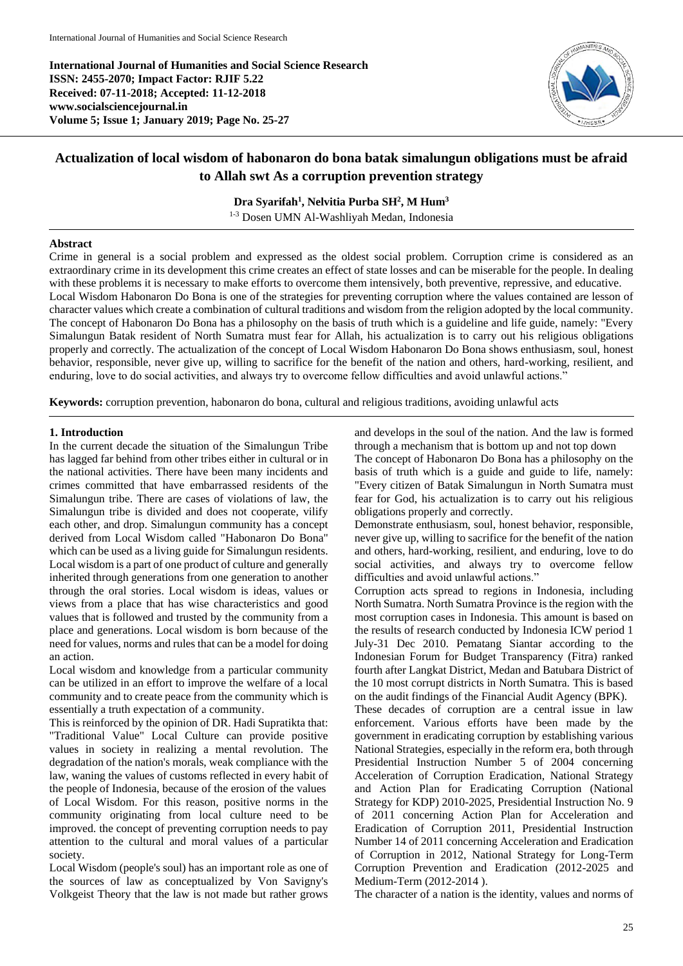**International Journal of Humanities and Social Science Research ISSN: 2455-2070; Impact Factor: RJIF 5.22 Received: 07-11-2018; Accepted: 11-12-2018 www.socialsciencejournal.in Volume 5; Issue 1; January 2019; Page No. 25-27**



# **Actualization of local wisdom of habonaron do bona batak simalungun obligations must be afraid to Allah swt As a corruption prevention strategy**

## **Dra Syarifah<sup>1</sup> , Nelvitia Purba SH<sup>2</sup> , M Hum<sup>3</sup>**

1-3 Dosen UMN Al-Washliyah Medan, Indonesia

#### **Abstract**

Crime in general is a social problem and expressed as the oldest social problem. Corruption crime is considered as an extraordinary crime in its development this crime creates an effect of state losses and can be miserable for the people. In dealing with these problems it is necessary to make efforts to overcome them intensively, both preventive, repressive, and educative. Local Wisdom Habonaron Do Bona is one of the strategies for preventing corruption where the values contained are lesson of character values which create a combination of cultural traditions and wisdom from the religion adopted by the local community. The concept of Habonaron Do Bona has a philosophy on the basis of truth which is a guideline and life guide, namely: "Every Simalungun Batak resident of North Sumatra must fear for Allah, his actualization is to carry out his religious obligations properly and correctly. The actualization of the concept of Local Wisdom Habonaron Do Bona shows enthusiasm, soul, honest behavior, responsible, never give up, willing to sacrifice for the benefit of the nation and others, hard-working, resilient, and enduring, love to do social activities, and always try to overcome fellow difficulties and avoid unlawful actions."

**Keywords:** corruption prevention, habonaron do bona, cultural and religious traditions, avoiding unlawful acts

#### **1. Introduction**

In the current decade the situation of the Simalungun Tribe has lagged far behind from other tribes either in cultural or in the national activities. There have been many incidents and crimes committed that have embarrassed residents of the Simalungun tribe. There are cases of violations of law, the Simalungun tribe is divided and does not cooperate, vilify each other, and drop. Simalungun community has a concept derived from Local Wisdom called "Habonaron Do Bona" which can be used as a living guide for Simalungun residents. Local wisdom is a part of one product of culture and generally inherited through generations from one generation to another through the oral stories. Local wisdom is ideas, values or views from a place that has wise characteristics and good values that is followed and trusted by the community from a place and generations. Local wisdom is born because of the need for values, norms and rules that can be a model for doing an action.

Local wisdom and knowledge from a particular community can be utilized in an effort to improve the welfare of a local community and to create peace from the community which is essentially a truth expectation of a community.

This is reinforced by the opinion of DR. Hadi Supratikta that: "Traditional Value" Local Culture can provide positive values in society in realizing a mental revolution. The degradation of the nation's morals, weak compliance with the law, waning the values of customs reflected in every habit of the people of Indonesia, because of the erosion of the values of Local Wisdom. For this reason, positive norms in the community originating from local culture need to be improved. the concept of preventing corruption needs to pay attention to the cultural and moral values of a particular society.

Local Wisdom (people's soul) has an important role as one of the sources of law as conceptualized by Von Savigny's Volkgeist Theory that the law is not made but rather grows

and develops in the soul of the nation. And the law is formed through a mechanism that is bottom up and not top down The concept of Habonaron Do Bona has a philosophy on the basis of truth which is a guide and guide to life, namely: "Every citizen of Batak Simalungun in North Sumatra must fear for God, his actualization is to carry out his religious obligations properly and correctly.

Demonstrate enthusiasm, soul, honest behavior, responsible, never give up, willing to sacrifice for the benefit of the nation and others, hard-working, resilient, and enduring, love to do social activities, and always try to overcome fellow difficulties and avoid unlawful actions."

Corruption acts spread to regions in Indonesia, including North Sumatra. North Sumatra Province is the region with the most corruption cases in Indonesia. This amount is based on the results of research conducted by Indonesia ICW period 1 July-31 Dec 2010. Pematang Siantar according to the Indonesian Forum for Budget Transparency (Fitra) ranked fourth after Langkat District, Medan and Batubara District of the 10 most corrupt districts in North Sumatra. This is based on the audit findings of the Financial Audit Agency (BPK).

These decades of corruption are a central issue in law enforcement. Various efforts have been made by the government in eradicating corruption by establishing various National Strategies, especially in the reform era, both through Presidential Instruction Number 5 of 2004 concerning Acceleration of Corruption Eradication, National Strategy and Action Plan for Eradicating Corruption (National Strategy for KDP) 2010-2025, Presidential Instruction No. 9 of 2011 concerning Action Plan for Acceleration and Eradication of Corruption 2011, Presidential Instruction Number 14 of 2011 concerning Acceleration and Eradication of Corruption in 2012, National Strategy for Long-Term Corruption Prevention and Eradication (2012-2025 and Medium-Term (2012-2014 ).

The character of a nation is the identity, values and norms of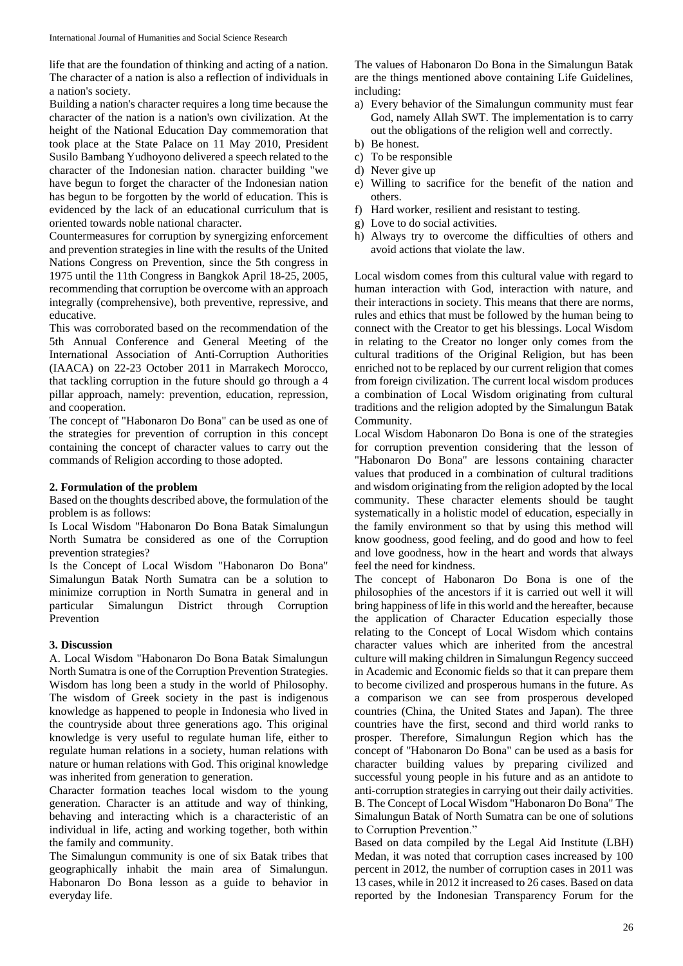life that are the foundation of thinking and acting of a nation. The character of a nation is also a reflection of individuals in a nation's society.

Building a nation's character requires a long time because the character of the nation is a nation's own civilization. At the height of the National Education Day commemoration that took place at the State Palace on 11 May 2010, President Susilo Bambang Yudhoyono delivered a speech related to the character of the Indonesian nation. character building "we have begun to forget the character of the Indonesian nation has begun to be forgotten by the world of education. This is evidenced by the lack of an educational curriculum that is oriented towards noble national character.

Countermeasures for corruption by synergizing enforcement and prevention strategies in line with the results of the United Nations Congress on Prevention, since the 5th congress in 1975 until the 11th Congress in Bangkok April 18-25, 2005, recommending that corruption be overcome with an approach integrally (comprehensive), both preventive, repressive, and educative.

This was corroborated based on the recommendation of the 5th Annual Conference and General Meeting of the International Association of Anti-Corruption Authorities (IAACA) on 22-23 October 2011 in Marrakech Morocco, that tackling corruption in the future should go through a 4 pillar approach, namely: prevention, education, repression, and cooperation.

The concept of "Habonaron Do Bona" can be used as one of the strategies for prevention of corruption in this concept containing the concept of character values to carry out the commands of Religion according to those adopted.

#### **2. Formulation of the problem**

Based on the thoughts described above, the formulation of the problem is as follows:

Is Local Wisdom "Habonaron Do Bona Batak Simalungun North Sumatra be considered as one of the Corruption prevention strategies?

Is the Concept of Local Wisdom "Habonaron Do Bona" Simalungun Batak North Sumatra can be a solution to minimize corruption in North Sumatra in general and in particular Simalungun District through Corruption Prevention

### **3. Discussion**

A. Local Wisdom "Habonaron Do Bona Batak Simalungun North Sumatra is one of the Corruption Prevention Strategies. Wisdom has long been a study in the world of Philosophy. The wisdom of Greek society in the past is indigenous knowledge as happened to people in Indonesia who lived in the countryside about three generations ago. This original knowledge is very useful to regulate human life, either to regulate human relations in a society, human relations with nature or human relations with God. This original knowledge was inherited from generation to generation.

Character formation teaches local wisdom to the young generation. Character is an attitude and way of thinking, behaving and interacting which is a characteristic of an individual in life, acting and working together, both within the family and community.

The Simalungun community is one of six Batak tribes that geographically inhabit the main area of Simalungun. Habonaron Do Bona lesson as a guide to behavior in everyday life.

The values of Habonaron Do Bona in the Simalungun Batak are the things mentioned above containing Life Guidelines, including:

- a) Every behavior of the Simalungun community must fear God, namely Allah SWT. The implementation is to carry out the obligations of the religion well and correctly.
- b) Be honest.
- c) To be responsible
- d) Never give up
- e) Willing to sacrifice for the benefit of the nation and others.
- f) Hard worker, resilient and resistant to testing.
- g) Love to do social activities.
- h) Always try to overcome the difficulties of others and avoid actions that violate the law.

Local wisdom comes from this cultural value with regard to human interaction with God, interaction with nature, and their interactions in society. This means that there are norms, rules and ethics that must be followed by the human being to connect with the Creator to get his blessings. Local Wisdom in relating to the Creator no longer only comes from the cultural traditions of the Original Religion, but has been enriched not to be replaced by our current religion that comes from foreign civilization. The current local wisdom produces a combination of Local Wisdom originating from cultural traditions and the religion adopted by the Simalungun Batak Community.

Local Wisdom Habonaron Do Bona is one of the strategies for corruption prevention considering that the lesson of "Habonaron Do Bona" are lessons containing character values that produced in a combination of cultural traditions and wisdom originating from the religion adopted by the local community. These character elements should be taught systematically in a holistic model of education, especially in the family environment so that by using this method will know goodness, good feeling, and do good and how to feel and love goodness, how in the heart and words that always feel the need for kindness.

The concept of Habonaron Do Bona is one of the philosophies of the ancestors if it is carried out well it will bring happiness of life in this world and the hereafter, because the application of Character Education especially those relating to the Concept of Local Wisdom which contains character values which are inherited from the ancestral culture will making children in Simalungun Regency succeed in Academic and Economic fields so that it can prepare them to become civilized and prosperous humans in the future. As a comparison we can see from prosperous developed countries (China, the United States and Japan). The three countries have the first, second and third world ranks to prosper. Therefore, Simalungun Region which has the concept of "Habonaron Do Bona" can be used as a basis for character building values by preparing civilized and successful young people in his future and as an antidote to anti-corruption strategies in carrying out their daily activities. B. The Concept of Local Wisdom "Habonaron Do Bona" The Simalungun Batak of North Sumatra can be one of solutions to Corruption Prevention."

Based on data compiled by the Legal Aid Institute (LBH) Medan, it was noted that corruption cases increased by 100 percent in 2012, the number of corruption cases in 2011 was 13 cases, while in 2012 it increased to 26 cases. Based on data reported by the Indonesian Transparency Forum for the